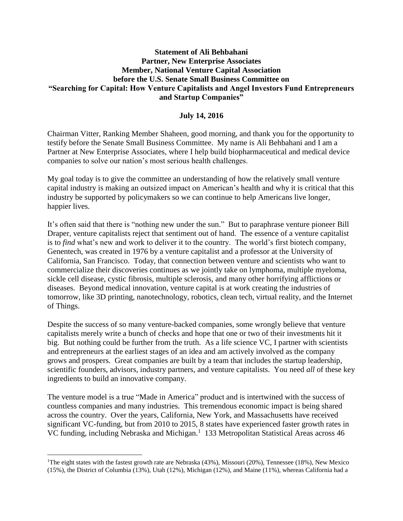## **Statement of Ali Behbahani Partner, New Enterprise Associates Member, National Venture Capital Association before the U.S. Senate Small Business Committee on "Searching for Capital: How Venture Capitalists and Angel Investors Fund Entrepreneurs and Startup Companies"**

## **July 14, 2016**

Chairman Vitter, Ranking Member Shaheen, good morning, and thank you for the opportunity to testify before the Senate Small Business Committee. My name is Ali Behbahani and I am a Partner at New Enterprise Associates, where I help build biopharmaceutical and medical device companies to solve our nation's most serious health challenges.

My goal today is to give the committee an understanding of how the relatively small venture capital industry is making an outsized impact on American's health and why it is critical that this industry be supported by policymakers so we can continue to help Americans live longer, happier lives.

It's often said that there is "nothing new under the sun." But to paraphrase venture pioneer Bill Draper, venture capitalists reject that sentiment out of hand. The essence of a venture capitalist is to *find* what's new and work to deliver it to the country. The world's first biotech company, Genentech, was created in 1976 by a venture capitalist and a professor at the University of California, San Francisco. Today, that connection between venture and scientists who want to commercialize their discoveries continues as we jointly take on lymphoma, multiple myeloma, sickle cell disease, cystic fibrosis, multiple sclerosis, and many other horrifying afflictions or diseases. Beyond medical innovation, venture capital is at work creating the industries of tomorrow, like 3D printing, nanotechnology, robotics, clean tech, virtual reality, and the Internet of Things.

Despite the success of so many venture-backed companies, some wrongly believe that venture capitalists merely write a bunch of checks and hope that one or two of their investments hit it big. But nothing could be further from the truth. As a life science VC, I partner with scientists and entrepreneurs at the earliest stages of an idea and am actively involved as the company grows and prospers. Great companies are built by a team that includes the startup leadership, scientific founders, advisors, industry partners, and venture capitalists. You need *all* of these key ingredients to build an innovative company.

The venture model is a true "Made in America" product and is intertwined with the success of countless companies and many industries. This tremendous economic impact is being shared across the country. Over the years, California, New York, and Massachusetts have received significant VC-funding, but from 2010 to 2015, 8 states have experienced faster growth rates in VC funding, including Nebraska and Michigan.<sup>1</sup> 133 Metropolitan Statistical Areas across 46

 $\overline{\phantom{a}}$ 

<sup>&</sup>lt;sup>1</sup>The eight states with the fastest growth rate are Nebraska (43%), Missouri (20%), Tennessee (18%), New Mexico (15%), the District of Columbia (13%), Utah (12%), Michigan (12%), and Maine (11%), whereas California had a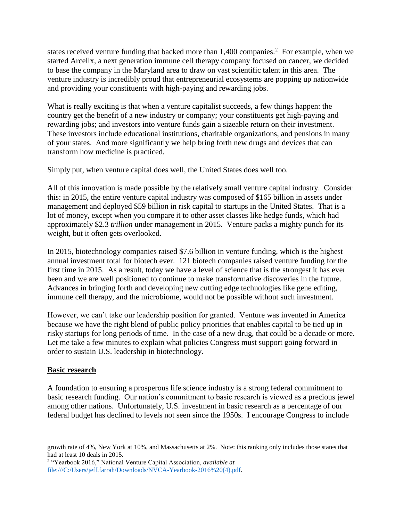states received venture funding that backed more than  $1,400$  companies.<sup>2</sup> For example, when we started Arcellx, a next generation immune cell therapy company focused on cancer, we decided to base the company in the Maryland area to draw on vast scientific talent in this area. The venture industry is incredibly proud that entrepreneurial ecosystems are popping up nationwide and providing your constituents with high-paying and rewarding jobs.

What is really exciting is that when a venture capitalist succeeds, a few things happen: the country get the benefit of a new industry or company; your constituents get high-paying and rewarding jobs; and investors into venture funds gain a sizeable return on their investment. These investors include educational institutions, charitable organizations, and pensions in many of your states. And more significantly we help bring forth new drugs and devices that can transform how medicine is practiced.

Simply put, when venture capital does well, the United States does well too.

All of this innovation is made possible by the relatively small venture capital industry. Consider this: in 2015, the entire venture capital industry was composed of \$165 billion in assets under management and deployed \$59 billion in risk capital to startups in the United States. That is a lot of money, except when you compare it to other asset classes like hedge funds, which had approximately \$2.3 *trillion* under management in 2015. Venture packs a mighty punch for its weight, but it often gets overlooked.

In 2015, biotechnology companies raised \$7.6 billion in venture funding, which is the highest annual investment total for biotech ever. 121 biotech companies raised venture funding for the first time in 2015. As a result, today we have a level of science that is the strongest it has ever been and we are well positioned to continue to make transformative discoveries in the future. Advances in bringing forth and developing new cutting edge technologies like gene editing, immune cell therapy, and the microbiome, would not be possible without such investment.

However, we can't take our leadership position for granted. Venture was invented in America because we have the right blend of public policy priorities that enables capital to be tied up in risky startups for long periods of time. In the case of a new drug, that could be a decade or more. Let me take a few minutes to explain what policies Congress must support going forward in order to sustain U.S. leadership in biotechnology.

# **Basic research**

 $\overline{\phantom{a}}$ 

A foundation to ensuring a prosperous life science industry is a strong federal commitment to basic research funding. Our nation's commitment to basic research is viewed as a precious jewel among other nations. Unfortunately, U.S. investment in basic research as a percentage of our federal budget has declined to levels not seen since the 1950s. I encourage Congress to include

growth rate of 4%, New York at 10%, and Massachusetts at 2%. Note: this ranking only includes those states that had at least 10 deals in 2015.

<sup>2</sup> "Yearbook 2016," National Venture Capital Association, *available at*  [file:///C:/Users/jeff.farrah/Downloads/NVCA-Yearbook-2016%20\(4\).pdf.](file:///C:/Users/jeff.farrah/Downloads/NVCA-Yearbook-2016%20(4).pdf)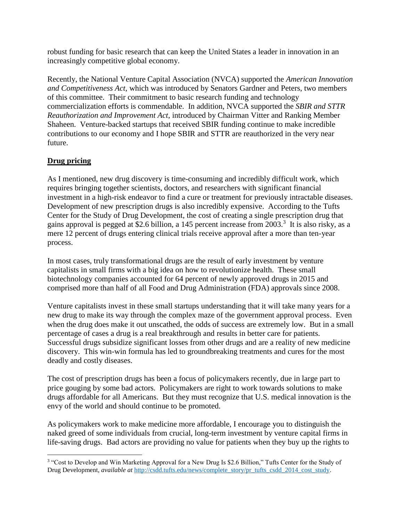robust funding for basic research that can keep the United States a leader in innovation in an increasingly competitive global economy.

Recently, the National Venture Capital Association (NVCA) supported the *American Innovation and Competitiveness Act*, which was introduced by Senators Gardner and Peters, two members of this committee. Their commitment to basic research funding and technology commercialization efforts is commendable. In addition, NVCA supported the *SBIR and STTR Reauthorization and Improvement Act*, introduced by Chairman Vitter and Ranking Member Shaheen. Venture-backed startups that received SBIR funding continue to make incredible contributions to our economy and I hope SBIR and STTR are reauthorized in the very near future.

# **Drug pricing**

As I mentioned, new drug discovery is time-consuming and incredibly difficult work, which requires bringing together scientists, doctors, and researchers with significant financial investment in a high-risk endeavor to find a cure or treatment for previously intractable diseases. Development of new prescription drugs is also incredibly expensive. According to the Tufts Center for the Study of Drug Development, the cost of creating a single prescription drug that gains approval is pegged at \$2.6 billion, a 145 percent increase from 2003.<sup>3</sup> It is also risky, as a mere 12 percent of drugs entering clinical trials receive approval after a more than ten-year process.

In most cases, truly transformational drugs are the result of early investment by venture capitalists in small firms with a big idea on how to revolutionize health. These small biotechnology companies accounted for 64 percent of newly approved drugs in 2015 and comprised more than half of all Food and Drug Administration (FDA) approvals since 2008.

Venture capitalists invest in these small startups understanding that it will take many years for a new drug to make its way through the complex maze of the government approval process. Even when the drug does make it out unscathed, the odds of success are extremely low. But in a small percentage of cases a drug is a real breakthrough and results in better care for patients. Successful drugs subsidize significant losses from other drugs and are a reality of new medicine discovery. This win-win formula has led to groundbreaking treatments and cures for the most deadly and costly diseases.

The cost of prescription drugs has been a focus of policymakers recently, due in large part to price gouging by some bad actors. Policymakers are right to work towards solutions to make drugs affordable for all Americans. But they must recognize that U.S. medical innovation is the envy of the world and should continue to be promoted.

As policymakers work to make medicine more affordable, I encourage you to distinguish the naked greed of some individuals from crucial, long-term investment by venture capital firms in life-saving drugs. Bad actors are providing no value for patients when they buy up the rights to

 $\overline{\phantom{a}}$ <sup>3</sup> "Cost to Develop and Win Marketing Approval for a New Drug Is \$2.6 Billion," Tufts Center for the Study of Drug Development, *available at* [http://csdd.tufts.edu/news/complete\\_story/pr\\_tufts\\_csdd\\_2014\\_cost\\_study.](http://csdd.tufts.edu/news/complete_story/pr_tufts_csdd_2014_cost_study)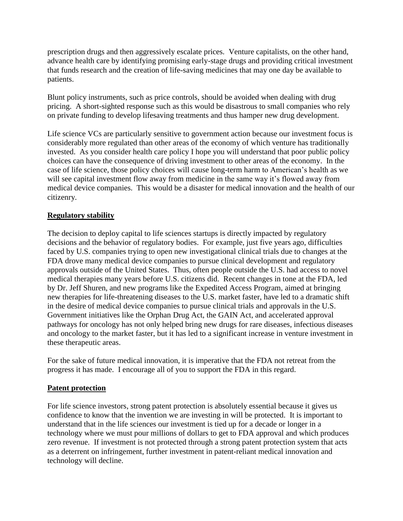prescription drugs and then aggressively escalate prices. Venture capitalists, on the other hand, advance health care by identifying promising early-stage drugs and providing critical investment that funds research and the creation of life-saving medicines that may one day be available to patients.

Blunt policy instruments, such as price controls, should be avoided when dealing with drug pricing. A short-sighted response such as this would be disastrous to small companies who rely on private funding to develop lifesaving treatments and thus hamper new drug development.

Life science VCs are particularly sensitive to government action because our investment focus is considerably more regulated than other areas of the economy of which venture has traditionally invested. As you consider health care policy I hope you will understand that poor public policy choices can have the consequence of driving investment to other areas of the economy. In the case of life science, those policy choices will cause long-term harm to American's health as we will see capital investment flow away from medicine in the same way it's flowed away from medical device companies. This would be a disaster for medical innovation and the health of our citizenry.

# **Regulatory stability**

The decision to deploy capital to life sciences startups is directly impacted by regulatory decisions and the behavior of regulatory bodies. For example, just five years ago, difficulties faced by U.S. companies trying to open new investigational clinical trials due to changes at the FDA drove many medical device companies to pursue clinical development and regulatory approvals outside of the United States. Thus, often people outside the U.S. had access to novel medical therapies many years before U.S. citizens did. Recent changes in tone at the FDA, led by Dr. Jeff Shuren, and new programs like the Expedited Access Program, aimed at bringing new therapies for life-threatening diseases to the U.S. market faster, have led to a dramatic shift in the desire of medical device companies to pursue clinical trials and approvals in the U.S. Government initiatives like the Orphan Drug Act, the GAIN Act, and accelerated approval pathways for oncology has not only helped bring new drugs for rare diseases, infectious diseases and oncology to the market faster, but it has led to a significant increase in venture investment in these therapeutic areas.

For the sake of future medical innovation, it is imperative that the FDA not retreat from the progress it has made. I encourage all of you to support the FDA in this regard.

#### **Patent protection**

For life science investors, strong patent protection is absolutely essential because it gives us confidence to know that the invention we are investing in will be protected. It is important to understand that in the life sciences our investment is tied up for a decade or longer in a technology where we must pour millions of dollars to get to FDA approval and which produces zero revenue. If investment is not protected through a strong patent protection system that acts as a deterrent on infringement, further investment in patent-reliant medical innovation and technology will decline.